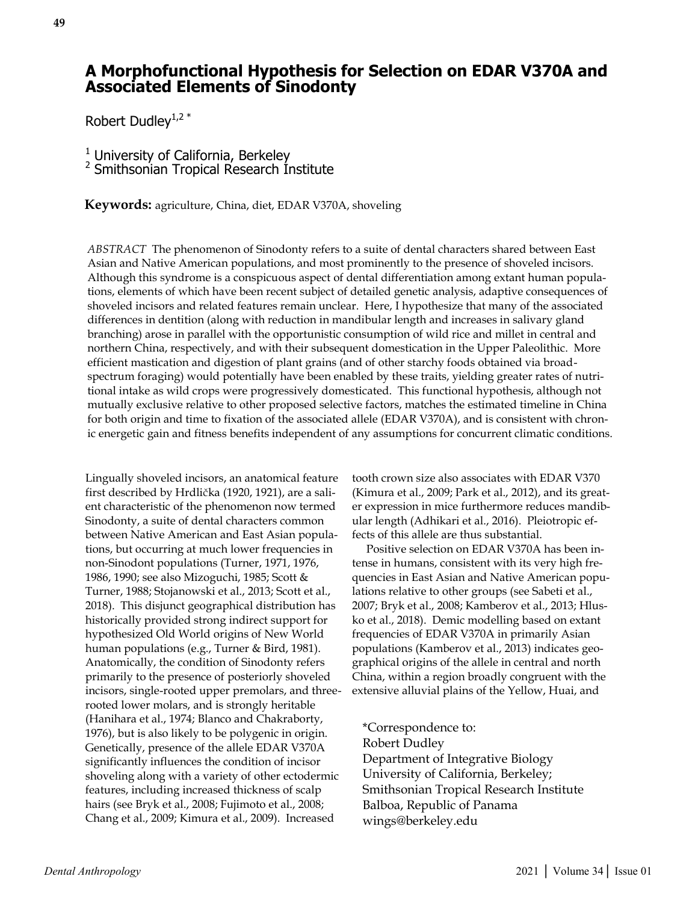# **A Morphofunctional Hypothesis for Selection on EDAR V370A and Associated Elements of Sinodonty**

Robert Dudley<sup>1,2  $*$ </sup>

 $<sup>1</sup>$  University of California, Berkeley</sup> 2 Smithsonian Tropical Research Institute

**Keywords:** agriculture, China, diet, EDAR V370A, shoveling

*ABSTRACT* The phenomenon of Sinodonty refers to a suite of dental characters shared between East Asian and Native American populations, and most prominently to the presence of shoveled incisors. Although this syndrome is a conspicuous aspect of dental differentiation among extant human populations, elements of which have been recent subject of detailed genetic analysis, adaptive consequences of shoveled incisors and related features remain unclear. Here, I hypothesize that many of the associated differences in dentition (along with reduction in mandibular length and increases in salivary gland branching) arose in parallel with the opportunistic consumption of wild rice and millet in central and northern China, respectively, and with their subsequent domestication in the Upper Paleolithic. More efficient mastication and digestion of plant grains (and of other starchy foods obtained via broadspectrum foraging) would potentially have been enabled by these traits, yielding greater rates of nutritional intake as wild crops were progressively domesticated. This functional hypothesis, although not mutually exclusive relative to other proposed selective factors, matches the estimated timeline in China for both origin and time to fixation of the associated allele (EDAR V370A), and is consistent with chronic energetic gain and fitness benefits independent of any assumptions for concurrent climatic conditions.

Lingually shoveled incisors, an anatomical feature first described by Hrdlička (1920, 1921), are a salient characteristic of the phenomenon now termed Sinodonty, a suite of dental characters common between Native American and East Asian populations, but occurring at much lower frequencies in non-Sinodont populations (Turner, 1971, 1976, 1986, 1990; see also Mizoguchi, 1985; Scott & Turner, 1988; Stojanowski et al., 2013; Scott et al., 2018). This disjunct geographical distribution has historically provided strong indirect support for hypothesized Old World origins of New World human populations (e.g., Turner & Bird, 1981). Anatomically, the condition of Sinodonty refers primarily to the presence of posteriorly shoveled incisors, single-rooted upper premolars, and threerooted lower molars, and is strongly heritable (Hanihara et al., 1974; Blanco and Chakraborty, 1976), but is also likely to be polygenic in origin. Genetically, presence of the allele EDAR V370A significantly influences the condition of incisor shoveling along with a variety of other ectodermic features, including increased thickness of scalp hairs (see Bryk et al., 2008; Fujimoto et al., 2008; Chang et al., 2009; Kimura et al., 2009). Increased

tooth crown size also associates with EDAR V370 (Kimura et al., 2009; Park et al., 2012), and its greater expression in mice furthermore reduces mandibular length (Adhikari et al., 2016). Pleiotropic effects of this allele are thus substantial.

 Positive selection on EDAR V370A has been intense in humans, consistent with its very high frequencies in East Asian and Native American populations relative to other groups (see Sabeti et al., 2007; Bryk et al., 2008; Kamberov et al., 2013; Hlusko et al., 2018). Demic modelling based on extant frequencies of EDAR V370A in primarily Asian populations (Kamberov et al., 2013) indicates geographical origins of the allele in central and north China, within a region broadly congruent with the extensive alluvial plains of the Yellow, Huai, and

\*Correspondence to: Robert Dudley Department of Integrative Biology University of California, Berkeley; Smithsonian Tropical Research Institute Balboa, Republic of Panama wings@berkeley.edu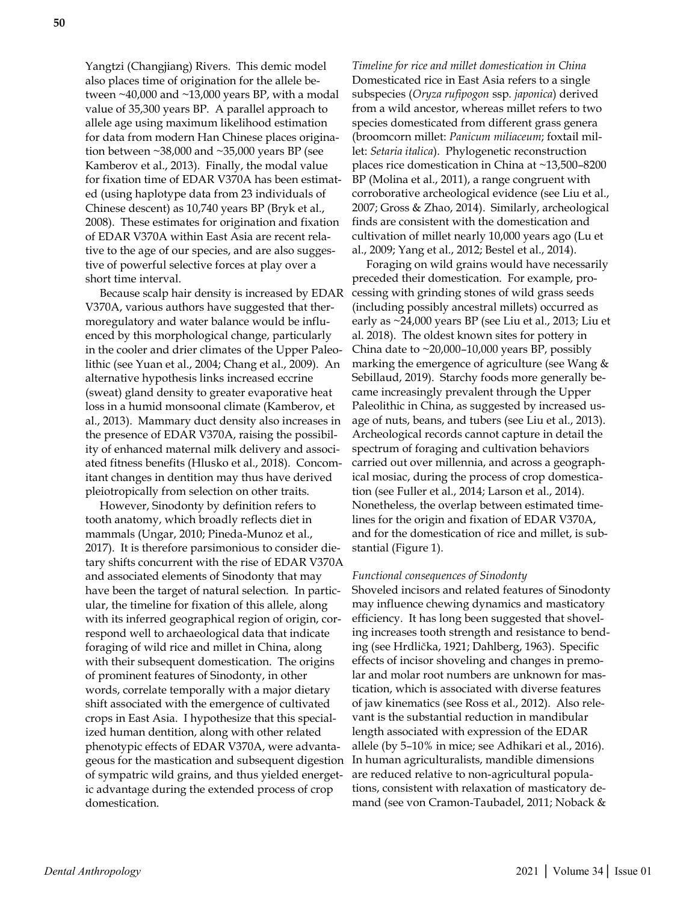Yangtzi (Changjiang) Rivers. This demic model also places time of origination for the allele between  $\sim$ 40,000 and  $\sim$ 13,000 years BP, with a modal value of 35,300 years BP. A parallel approach to allele age using maximum likelihood estimation for data from modern Han Chinese places origination between ~38,000 and ~35,000 years BP (see Kamberov et al., 2013). Finally, the modal value for fixation time of EDAR V370A has been estimated (using haplotype data from 23 individuals of Chinese descent) as 10,740 years BP (Bryk et al., 2008). These estimates for origination and fixation of EDAR V370A within East Asia are recent relative to the age of our species, and are also suggestive of powerful selective forces at play over a short time interval.

 Because scalp hair density is increased by EDAR V370A, various authors have suggested that thermoregulatory and water balance would be influenced by this morphological change, particularly in the cooler and drier climates of the Upper Paleolithic (see Yuan et al., 2004; Chang et al., 2009). An alternative hypothesis links increased eccrine (sweat) gland density to greater evaporative heat loss in a humid monsoonal climate (Kamberov, et al., 2013). Mammary duct density also increases in the presence of EDAR V370A, raising the possibility of enhanced maternal milk delivery and associated fitness benefits (Hlusko et al., 2018). Concomitant changes in dentition may thus have derived pleiotropically from selection on other traits.

 However, Sinodonty by definition refers to tooth anatomy, which broadly reflects diet in mammals (Ungar, 2010; Pineda-Munoz et al., 2017). It is therefore parsimonious to consider dietary shifts concurrent with the rise of EDAR V370A and associated elements of Sinodonty that may have been the target of natural selection. In particular, the timeline for fixation of this allele, along with its inferred geographical region of origin, correspond well to archaeological data that indicate foraging of wild rice and millet in China, along with their subsequent domestication. The origins of prominent features of Sinodonty, in other words, correlate temporally with a major dietary shift associated with the emergence of cultivated crops in East Asia. I hypothesize that this specialized human dentition, along with other related phenotypic effects of EDAR V370A, were advantageous for the mastication and subsequent digestion of sympatric wild grains, and thus yielded energetic advantage during the extended process of crop domestication.

*Timeline for rice and millet domestication in China* Domesticated rice in East Asia refers to a single subspecies (*Oryza rufipogon* ssp*. japonica*) derived from a wild ancestor, whereas millet refers to two species domesticated from different grass genera (broomcorn millet: *Panicum miliaceum*; foxtail millet: *Setaria italica*). Phylogenetic reconstruction places rice domestication in China at ~13,500–8200 BP (Molina et al., 2011), a range congruent with corroborative archeological evidence (see Liu et al., 2007; Gross & Zhao, 2014). Similarly, archeological finds are consistent with the domestication and cultivation of millet nearly 10,000 years ago (Lu et al., 2009; Yang et al., 2012; Bestel et al., 2014).

 Foraging on wild grains would have necessarily preceded their domestication. For example, processing with grinding stones of wild grass seeds (including possibly ancestral millets) occurred as early as ~24,000 years BP (see Liu et al., 2013; Liu et al. 2018). The oldest known sites for pottery in China date to ~20,000–10,000 years BP, possibly marking the emergence of agriculture (see Wang & Sebillaud, 2019). Starchy foods more generally became increasingly prevalent through the Upper Paleolithic in China, as suggested by increased usage of nuts, beans, and tubers (see Liu et al., 2013). Archeological records cannot capture in detail the spectrum of foraging and cultivation behaviors carried out over millennia, and across a geographical mosiac, during the process of crop domestication (see Fuller et al., 2014; Larson et al., 2014). Nonetheless, the overlap between estimated timelines for the origin and fixation of EDAR V370A, and for the domestication of rice and millet, is substantial (Figure 1).

#### *Functional consequences of Sinodonty*

Shoveled incisors and related features of Sinodonty may influence chewing dynamics and masticatory efficiency. It has long been suggested that shoveling increases tooth strength and resistance to bending (see Hrdlička, 1921; Dahlberg, 1963). Specific effects of incisor shoveling and changes in premolar and molar root numbers are unknown for mastication, which is associated with diverse features of jaw kinematics (see Ross et al., 2012). Also relevant is the substantial reduction in mandibular length associated with expression of the EDAR allele (by 5–10% in mice; see Adhikari et al., 2016). In human agriculturalists, mandible dimensions are reduced relative to non-agricultural populations, consistent with relaxation of masticatory demand (see von Cramon-Taubadel, 2011; Noback &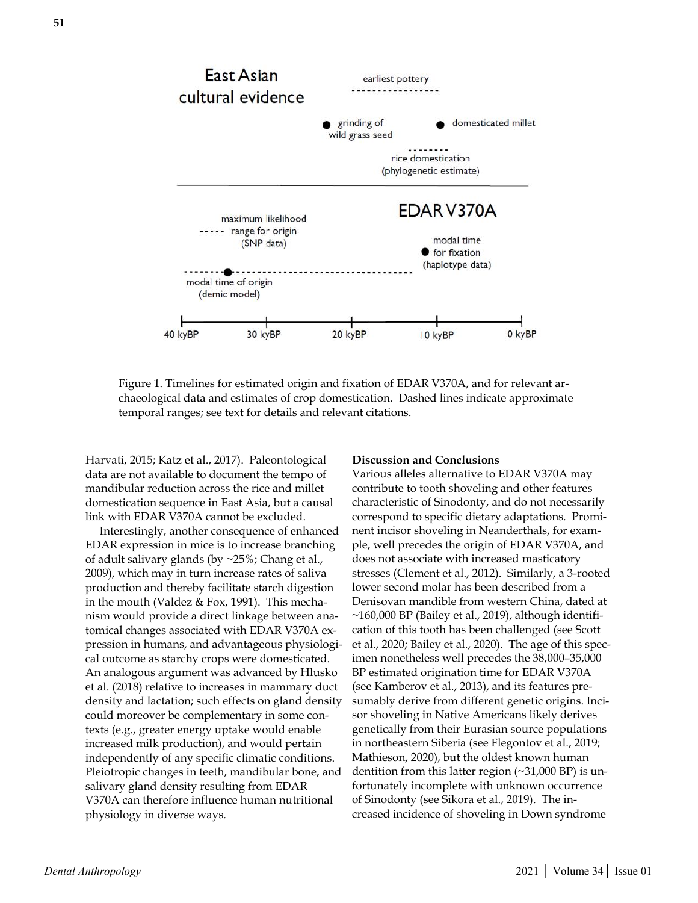

Figure 1. Timelines for estimated origin and fixation of EDAR V370A, and for relevant archaeological data and estimates of crop domestication. Dashed lines indicate approximate temporal ranges; see text for details and relevant citations.

Harvati, 2015; Katz et al., 2017). Paleontological data are not available to document the tempo of mandibular reduction across the rice and millet domestication sequence in East Asia, but a causal link with EDAR V370A cannot be excluded.

 Interestingly, another consequence of enhanced EDAR expression in mice is to increase branching of adult salivary glands (by ~25%; Chang et al., 2009), which may in turn increase rates of saliva production and thereby facilitate starch digestion in the mouth (Valdez & Fox, 1991). This mechanism would provide a direct linkage between anatomical changes associated with EDAR V370A expression in humans, and advantageous physiological outcome as starchy crops were domesticated. An analogous argument was advanced by Hlusko et al. (2018) relative to increases in mammary duct density and lactation; such effects on gland density could moreover be complementary in some contexts (e.g., greater energy uptake would enable increased milk production), and would pertain independently of any specific climatic conditions. Pleiotropic changes in teeth, mandibular bone, and salivary gland density resulting from EDAR V370A can therefore influence human nutritional physiology in diverse ways.

### **Discussion and Conclusions**

Various alleles alternative to EDAR V370A may contribute to tooth shoveling and other features characteristic of Sinodonty, and do not necessarily correspond to specific dietary adaptations. Prominent incisor shoveling in Neanderthals, for example, well precedes the origin of EDAR V370A, and does not associate with increased masticatory stresses (Clement et al., 2012). Similarly, a 3-rooted lower second molar has been described from a Denisovan mandible from western China, dated at  $\sim$ 160,000 BP (Bailey et al., 2019), although identification of this tooth has been challenged (see Scott et al., 2020; Bailey et al., 2020). The age of this specimen nonetheless well precedes the 38,000–35,000 BP estimated origination time for EDAR V370A (see Kamberov et al., 2013), and its features presumably derive from different genetic origins. Incisor shoveling in Native Americans likely derives genetically from their Eurasian source populations in northeastern Siberia (see Flegontov et al., 2019; Mathieson, 2020), but the oldest known human dentition from this latter region (~31,000 BP) is unfortunately incomplete with unknown occurrence of Sinodonty (see Sikora et al., 2019). The increased incidence of shoveling in Down syndrome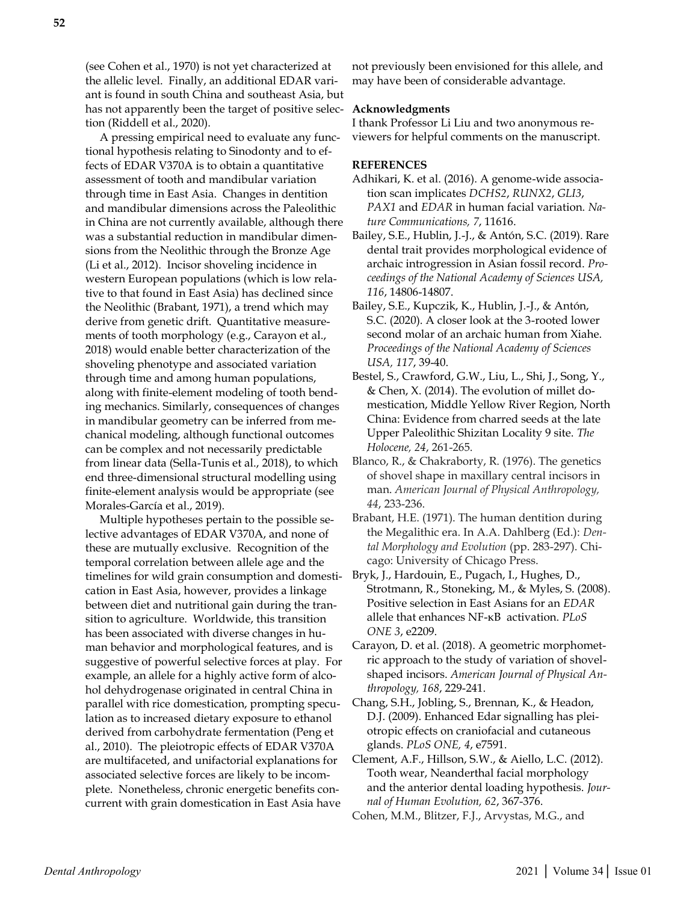(see Cohen et al., 1970) is not yet characterized at the allelic level. Finally, an additional EDAR variant is found in south China and southeast Asia, but has not apparently been the target of positive selection (Riddell et al., 2020).

 A pressing empirical need to evaluate any functional hypothesis relating to Sinodonty and to effects of EDAR V370A is to obtain a quantitative assessment of tooth and mandibular variation through time in East Asia. Changes in dentition and mandibular dimensions across the Paleolithic in China are not currently available, although there was a substantial reduction in mandibular dimensions from the Neolithic through the Bronze Age (Li et al., 2012). Incisor shoveling incidence in western European populations (which is low relative to that found in East Asia) has declined since the Neolithic (Brabant, 1971), a trend which may derive from genetic drift. Quantitative measurements of tooth morphology (e.g., Carayon et al., 2018) would enable better characterization of the shoveling phenotype and associated variation through time and among human populations, along with finite-element modeling of tooth bending mechanics. Similarly, consequences of changes in mandibular geometry can be inferred from mechanical modeling, although functional outcomes can be complex and not necessarily predictable from linear data (Sella-Tunis et al., 2018), to which end three-dimensional structural modelling using finite-element analysis would be appropriate (see Morales-García et al., 2019).

 Multiple hypotheses pertain to the possible selective advantages of EDAR V370A, and none of these are mutually exclusive. Recognition of the temporal correlation between allele age and the timelines for wild grain consumption and domestication in East Asia, however, provides a linkage between diet and nutritional gain during the transition to agriculture. Worldwide, this transition has been associated with diverse changes in human behavior and morphological features, and is suggestive of powerful selective forces at play. For example, an allele for a highly active form of alcohol dehydrogenase originated in central China in parallel with rice domestication, prompting speculation as to increased dietary exposure to ethanol derived from carbohydrate fermentation (Peng et al., 2010). The pleiotropic effects of EDAR V370A are multifaceted, and unifactorial explanations for associated selective forces are likely to be incomplete. Nonetheless, chronic energetic benefits concurrent with grain domestication in East Asia have

not previously been envisioned for this allele, and may have been of considerable advantage.

### **Acknowledgments**

I thank Professor Li Liu and two anonymous reviewers for helpful comments on the manuscript.

## **REFERENCES**

- Adhikari, K. et al. (2016). A genome-wide association scan implicates *DCHS2*, *RUNX2*, *GLI3*, *PAX1* and *EDAR* in human facial variation. *Nature Communications, 7*, 11616.
- Bailey, S.E., Hublin, J.-J., & Antón, S.C. (2019). Rare dental trait provides morphological evidence of archaic introgression in Asian fossil record. *Proceedings of the National Academy of Sciences USA, 116*, 14806-14807.
- Bailey, S.E., Kupczik, K., Hublin, J.-J., & Antón, S.C. (2020). A closer look at the 3-rooted lower second molar of an archaic human from Xiahe. *Proceedings of the National Academy of Sciences USA, 117*, 39-40.
- Bestel, S., Crawford, G.W., Liu, L., Shi, J., Song, Y., & Chen, X. (2014). The evolution of millet domestication, Middle Yellow River Region, North China: Evidence from charred seeds at the late Upper Paleolithic Shizitan Locality 9 site. *The Holocene, 24*, 261-265.
- Blanco, R., & Chakraborty, R. (1976). The genetics of shovel shape in maxillary central incisors in man. *American Journal of Physical Anthropology, 44*, 233-236.
- Brabant, H.E. (1971). The human dentition during the Megalithic era. In A.A. Dahlberg (Ed.): *Dental Morphology and Evolution* (pp. 283-297). Chicago: University of Chicago Press.
- Bryk, J., Hardouin, E., Pugach, I., Hughes, D., Strotmann, R., Stoneking, M., & Myles, S. (2008). Positive selection in East Asians for an *EDAR* allele that enhances NF-κB activation. *PLoS ONE 3*, e2209.
- Carayon, D. et al. (2018). A geometric morphometric approach to the study of variation of shovelshaped incisors. *American Journal of Physical Anthropology, 168*, 229-241.
- Chang, S.H., Jobling, S., Brennan, K., & Headon, D.J. (2009). Enhanced Edar signalling has pleiotropic effects on craniofacial and cutaneous glands. *PLoS ONE, 4*, e7591.
- Clement, A.F., Hillson, S.W., & Aiello, L.C. (2012). Tooth wear, Neanderthal facial morphology and the anterior dental loading hypothesis. *Journal of Human Evolution, 62*, 367-376.
- Cohen, M.M., Blitzer, F.J., Arvystas, M.G., and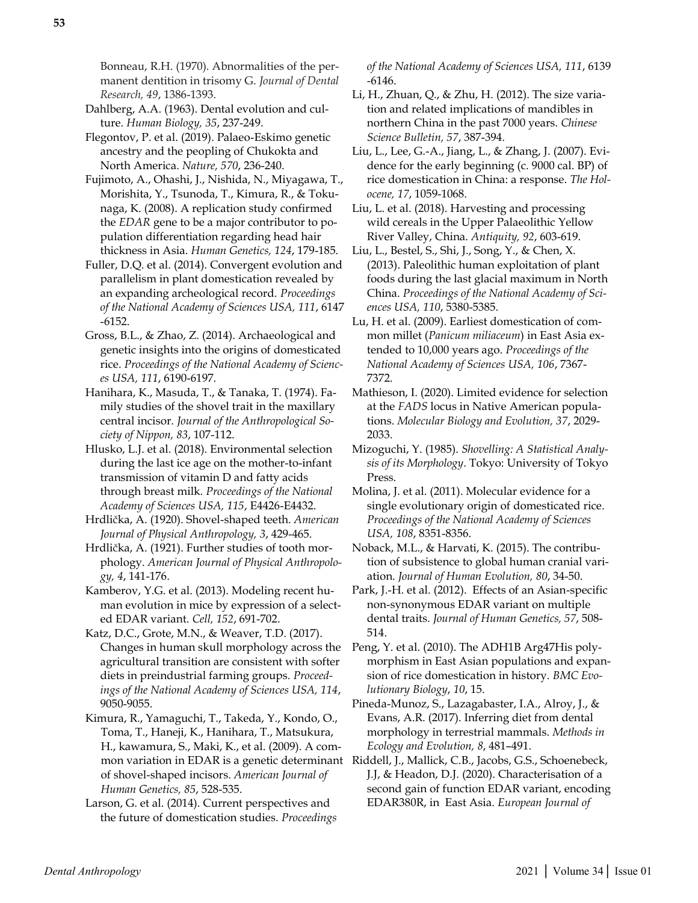Bonneau, R.H. (1970). Abnormalities of the permanent dentition in trisomy G. *Journal of Dental Research, 49*, 1386-1393.

Dahlberg, A.A. (1963). Dental evolution and culture. *Human Biology, 35*, 237-249.

Flegontov, P. et al. (2019). Palaeo-Eskimo genetic ancestry and the peopling of Chukokta and North America. *Nature, 570*, 236-240.

Fujimoto, A., Ohashi, J., Nishida, N., Miyagawa, T., Morishita, Y., Tsunoda, T., Kimura, R., & Tokunaga, K. (2008). A replication study confirmed the *EDAR* gene to be a major contributor to population differentiation regarding head hair thickness in Asia. *Human Genetics, 124*, 179-185.

Fuller, D.Q. et al. (2014). Convergent evolution and parallelism in plant domestication revealed by an expanding archeological record. *Proceedings of the National Academy of Sciences USA, 111*, 6147 -6152.

Gross, B.L., & Zhao, Z. (2014). Archaeological and genetic insights into the origins of domesticated rice. *Proceedings of the National Academy of Sciences USA, 111*, 6190-6197.

Hanihara, K., Masuda, T., & Tanaka, T. (1974). Family studies of the shovel trait in the maxillary central incisor. *Journal of the Anthropological Society of Nippon, 83*, 107-112.

Hlusko, L.J. et al. (2018). Environmental selection during the last ice age on the mother-to-infant transmission of vitamin D and fatty acids through breast milk. *Proceedings of the National Academy of Sciences USA, 115*, E4426-E4432.

Hrdlička, A. (1920). Shovel-shaped teeth. *American Journal of Physical Anthropology, 3*, 429-465.

Hrdlička, A. (1921). Further studies of tooth morphology. *American Journal of Physical Anthropology, 4*, 141-176.

Kamberov, Y.G. et al. (2013). Modeling recent human evolution in mice by expression of a selected EDAR variant. *Cell, 152*, 691-702.

Katz, D.C., Grote, M.N., & Weaver, T.D. (2017). Changes in human skull morphology across the agricultural transition are consistent with softer diets in preindustrial farming groups. *Proceedings of the National Academy of Sciences USA, 114*, 9050-9055.

Kimura, R., Yamaguchi, T., Takeda, Y., Kondo, O., Toma, T., Haneji, K., Hanihara, T., Matsukura, H., kawamura, S., Maki, K., et al. (2009). A comof shovel-shaped incisors. *American Journal of Human Genetics, 85*, 528-535.

Larson, G. et al. (2014). Current perspectives and the future of domestication studies. *Proceedings*  *of the National Academy of Sciences USA, 111*, 6139 -6146.

Li, H., Zhuan, Q., & Zhu, H. (2012). The size variation and related implications of mandibles in northern China in the past 7000 years. *Chinese Science Bulletin, 57*, 387-394.

Liu, L., Lee, G.-A., Jiang, L., & Zhang, J. (2007). Evidence for the early beginning (c. 9000 cal. BP) of rice domestication in China: a response. *The Holocene, 17*, 1059-1068.

Liu, L. et al. (2018). Harvesting and processing wild cereals in the Upper Palaeolithic Yellow River Valley, China. *Antiquity, 92*, 603-619.

Liu, L., Bestel, S., Shi, J., Song, Y., & Chen, X. (2013). Paleolithic human exploitation of plant foods during the last glacial maximum in North China. *Proceedings of the National Academy of Sciences USA, 110*, 5380-5385.

Lu, H. et al. (2009). Earliest domestication of common millet (*Panicum miliaceum*) in East Asia extended to 10,000 years ago. *Proceedings of the National Academy of Sciences USA, 106*, 7367- 7372.

Mathieson, I. (2020). Limited evidence for selection at the *FADS* locus in Native American populations. *Molecular Biology and Evolution, 37*, 2029- 2033.

Mizoguchi, Y. (1985). *Shovelling: A Statistical Analysis of its Morphology*. Tokyo: University of Tokyo Press.

Molina, J. et al. (2011). Molecular evidence for a single evolutionary origin of domesticated rice. *Proceedings of the National Academy of Sciences USA, 108*, 8351-8356.

Noback, M.L., & Harvati, K. (2015). The contribution of subsistence to global human cranial variation. *Journal of Human Evolution, 80*, 34-50.

Park, J.-H. et al. (2012). Effects of an Asian-specific non-synonymous EDAR variant on multiple dental traits. *Journal of Human Genetics, 57*, 508- 514.

Peng, Y. et al. (2010). The ADH1B Arg47His polymorphism in East Asian populations and expansion of rice domestication in history. *BMC Evolutionary Biology*, *10*, 15.

Pineda-Munoz, S., Lazagabaster, I.A., Alroy, J., & Evans, A.R. (2017). Inferring diet from dental morphology in terrestrial mammals. *Methods in Ecology and Evolution, 8*, 481–491.

mon variation in EDAR is a genetic determinant Riddell, J., Mallick, C.B., Jacobs, G.S., Schoenebeck, J.J, & Headon, D.J. (2020). Characterisation of a second gain of function EDAR variant, encoding EDAR380R, in East Asia. *European Journal of*